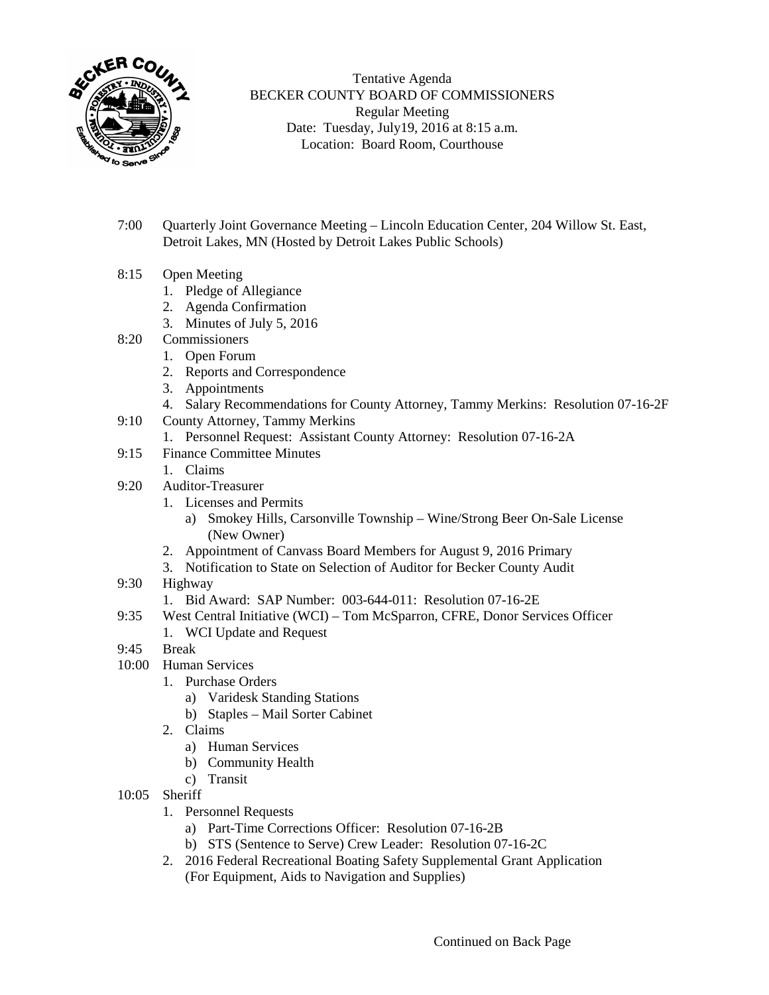

Tentative Agenda BECKER COUNTY BOARD OF COMMISSIONERS Regular Meeting Date: Tuesday, July19, 2016 at 8:15 a.m. Location: Board Room, Courthouse

- 7:00 Quarterly Joint Governance Meeting Lincoln Education Center, 204 Willow St. East, Detroit Lakes, MN (Hosted by Detroit Lakes Public Schools)
- 8:15 Open Meeting
	- 1. Pledge of Allegiance
	- 2. Agenda Confirmation
	- 3. Minutes of July 5, 2016
- 8:20 Commissioners
	- 1. Open Forum
	- 2. Reports and Correspondence
	- 3. Appointments
	- 4. Salary Recommendations for County Attorney, Tammy Merkins: Resolution 07-16-2F
- 9:10 County Attorney, Tammy Merkins
	- 1. Personnel Request: Assistant County Attorney: Resolution 07-16-2A
- 9:15 Finance Committee Minutes
	- 1. Claims
- 9:20 Auditor-Treasurer
	- 1. Licenses and Permits
		- a) Smokey Hills, Carsonville Township Wine/Strong Beer On-Sale License (New Owner)
	- 2. Appointment of Canvass Board Members for August 9, 2016 Primary
	- 3. Notification to State on Selection of Auditor for Becker County Audit
- 9:30 Highway
	- 1. Bid Award: SAP Number: 003-644-011: Resolution 07-16-2E
- 9:35 West Central Initiative (WCI) Tom McSparron, CFRE, Donor Services Officer
	- 1. WCI Update and Request
- 9:45 Break
- 10:00 Human Services
	- 1. Purchase Orders
		- a) Varidesk Standing Stations
		- b) Staples Mail Sorter Cabinet
	- 2. Claims
		- a) Human Services
		- b) Community Health
		- c) Transit
- 10:05 Sheriff
	- 1. Personnel Requests
		- a) Part-Time Corrections Officer: Resolution 07-16-2B
		- b) STS (Sentence to Serve) Crew Leader: Resolution 07-16-2C
	- 2. 2016 Federal Recreational Boating Safety Supplemental Grant Application (For Equipment, Aids to Navigation and Supplies)